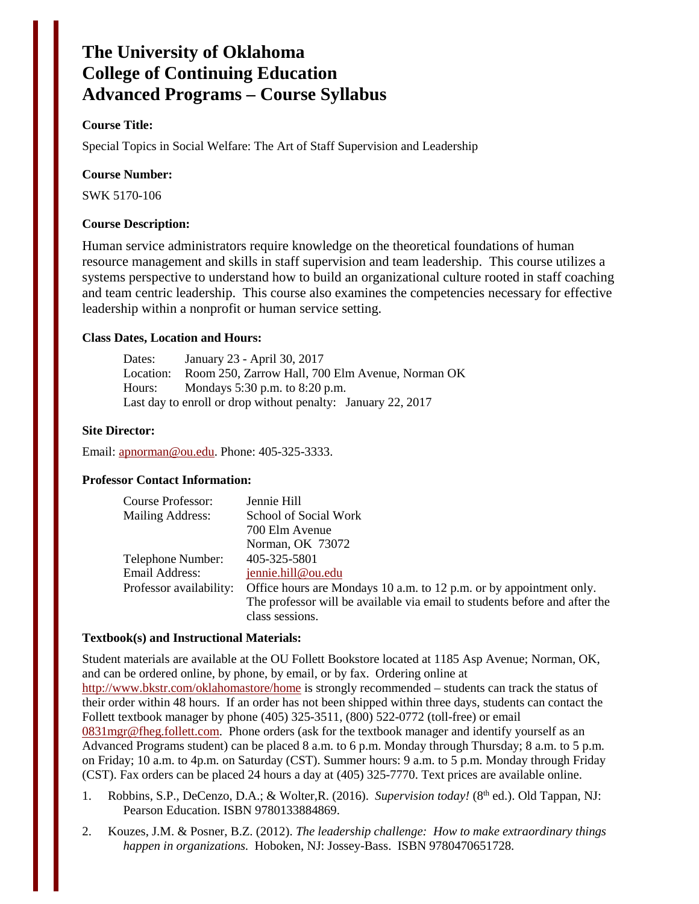# **The University of Oklahoma College of Continuing Education Advanced Programs – Course Syllabus**

# **Course Title:**

Special Topics in Social Welfare: The Art of Staff Supervision and Leadership

#### **Course Number:**

SWK 5170-106

#### **Course Description:**

Human service administrators require knowledge on the theoretical foundations of human resource management and skills in staff supervision and team leadership. This course utilizes a systems perspective to understand how to build an organizational culture rooted in staff coaching and team centric leadership. This course also examines the competencies necessary for effective leadership within a nonprofit or human service setting.

#### **Class Dates, Location and Hours:**

Dates: January 23 - April 30, 2017 Location: Room 250, Zarrow Hall, 700 Elm Avenue, Norman OK Hours: Mondays 5:30 p.m. to 8:20 p.m. Last day to enroll or drop without penalty: January 22, 2017

#### **Site Director:**

Email: [apnorman@ou.edu.](mailto:apnorman@ou.edu) Phone: 405-325-3333.

#### **Professor Contact Information:**

| Course Professor:       | Jennie Hill                                                                |
|-------------------------|----------------------------------------------------------------------------|
| Mailing Address:        | School of Social Work                                                      |
|                         | 700 Elm Avenue                                                             |
|                         | Norman, OK 73072                                                           |
| Telephone Number:       | 405-325-5801                                                               |
| Email Address:          | jennie.hill@ou.edu                                                         |
| Professor availability: | Office hours are Mondays 10 a.m. to 12 p.m. or by appointment only.        |
|                         | The professor will be available via email to students before and after the |
|                         | class sessions.                                                            |

#### **Textbook(s) and Instructional Materials:**

Student materials are available at the OU Follett Bookstore located at 1185 Asp Avenue; Norman, OK, and can be ordered online, by phone, by email, or by fax. Ordering online at <http://www.bkstr.com/oklahomastore/home>is strongly recommended – students can track the status of their order within 48 hours. If an order has not been shipped within three days, students can contact the Follett textbook manager by phone (405) 325-3511, (800) 522-0772 (toll-free) or email [0831mgr@fheg.follett.com.](mailto:0831mgr@fheg.follett.com) Phone orders (ask for the textbook manager and identify yourself as an Advanced Programs student) can be placed 8 a.m. to 6 p.m. Monday through Thursday; 8 a.m. to 5 p.m. on Friday; 10 a.m. to 4p.m. on Saturday (CST). Summer hours: 9 a.m. to 5 p.m. Monday through Friday (CST). Fax orders can be placed 24 hours a day at (405) 325-7770. Text prices are available online.

- 1. Robbins, S.P., DeCenzo, D.A.; & Wolter, R. (2016). *Supervision today!* (8<sup>th</sup> ed.). Old Tappan, NJ: Pearson Education. ISBN 9780133884869.
- 2. Kouzes, J.M. & Posner, B.Z. (2012). *The leadership challenge: How to make extraordinary things happen in organizations.* Hoboken, NJ: Jossey-Bass. ISBN 9780470651728.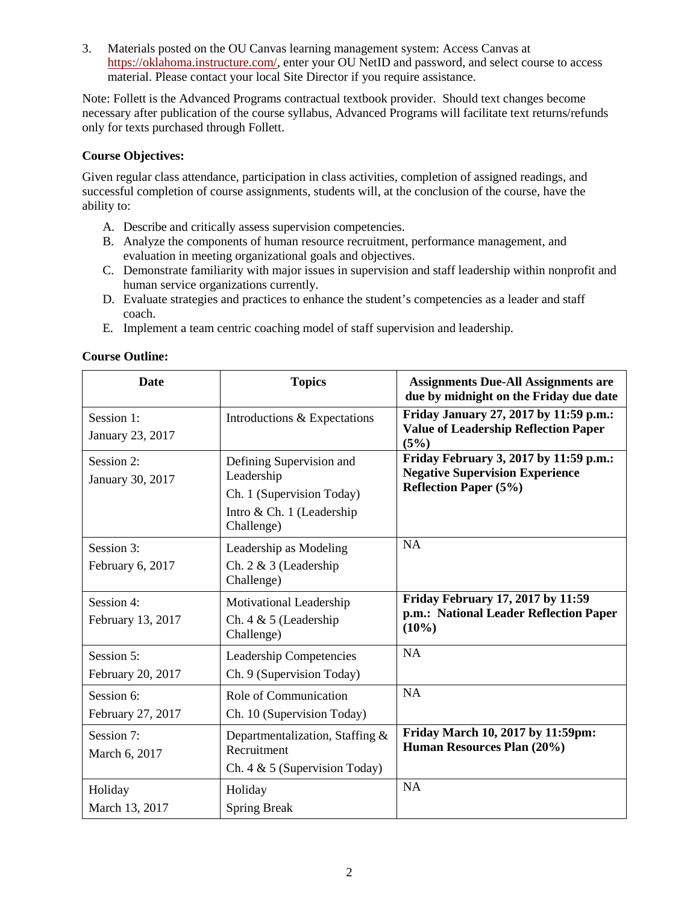3. Materials posted on the OU Canvas learning management system: Access Canvas at [https://oklahoma.instructure.com/,](https://oklahoma.instructure.com/) enter your OU NetID and password, and select course to access material. Please contact your local Site Director if you require assistance.

Note: Follett is the Advanced Programs contractual textbook provider. Should text changes become necessary after publication of the course syllabus, Advanced Programs will facilitate text returns/refunds only for texts purchased through Follett.

# **Course Objectives:**

Given regular class attendance, participation in class activities, completion of assigned readings, and successful completion of course assignments, students will, at the conclusion of the course, have the ability to:

- A. Describe and critically assess supervision competencies.
- B. Analyze the components of human resource recruitment, performance management, and evaluation in meeting organizational goals and objectives.
- C. Demonstrate familiarity with major issues in supervision and staff leadership within nonprofit and human service organizations currently.
- D. Evaluate strategies and practices to enhance the student's competencies as a leader and staff coach.
- E. Implement a team centric coaching model of staff supervision and leadership.

| <b>Date</b>                     | <b>Topics</b>                                                                                                  | <b>Assignments Due-All Assignments are</b><br>due by midnight on the Friday due date                             |
|---------------------------------|----------------------------------------------------------------------------------------------------------------|------------------------------------------------------------------------------------------------------------------|
| Session 1:<br>January 23, 2017  | Introductions & Expectations                                                                                   | Friday January 27, 2017 by 11:59 p.m.:<br><b>Value of Leadership Reflection Paper</b><br>(5%)                    |
| Session 2:<br>January 30, 2017  | Defining Supervision and<br>Leadership<br>Ch. 1 (Supervision Today)<br>Intro & Ch. 1 (Leadership<br>Challenge) | Friday February 3, 2017 by 11:59 p.m.:<br><b>Negative Supervision Experience</b><br><b>Reflection Paper (5%)</b> |
| Session 3:<br>February 6, 2017  | Leadership as Modeling<br>Ch. $2 \& 3$ (Leadership<br>Challenge)                                               | NA                                                                                                               |
| Session 4:<br>February 13, 2017 | Motivational Leadership<br>Ch. 4 & 5 (Leadership<br>Challenge)                                                 | Friday February 17, 2017 by 11:59<br>p.m.: National Leader Reflection Paper<br>$(10\%)$                          |
| Session 5:<br>February 20, 2017 | <b>Leadership Competencies</b><br>Ch. 9 (Supervision Today)                                                    | <b>NA</b>                                                                                                        |
| Session 6:<br>February 27, 2017 | Role of Communication<br>Ch. 10 (Supervision Today)                                                            | <b>NA</b>                                                                                                        |
| Session 7:<br>March 6, 2017     | Departmentalization, Staffing &<br>Recruitment<br>Ch. $4 \& 5$ (Supervision Today)                             | Friday March 10, 2017 by 11:59pm:<br>Human Resources Plan (20%)                                                  |
| Holiday<br>March 13, 2017       | Holiday<br><b>Spring Break</b>                                                                                 | NA                                                                                                               |

#### **Course Outline:**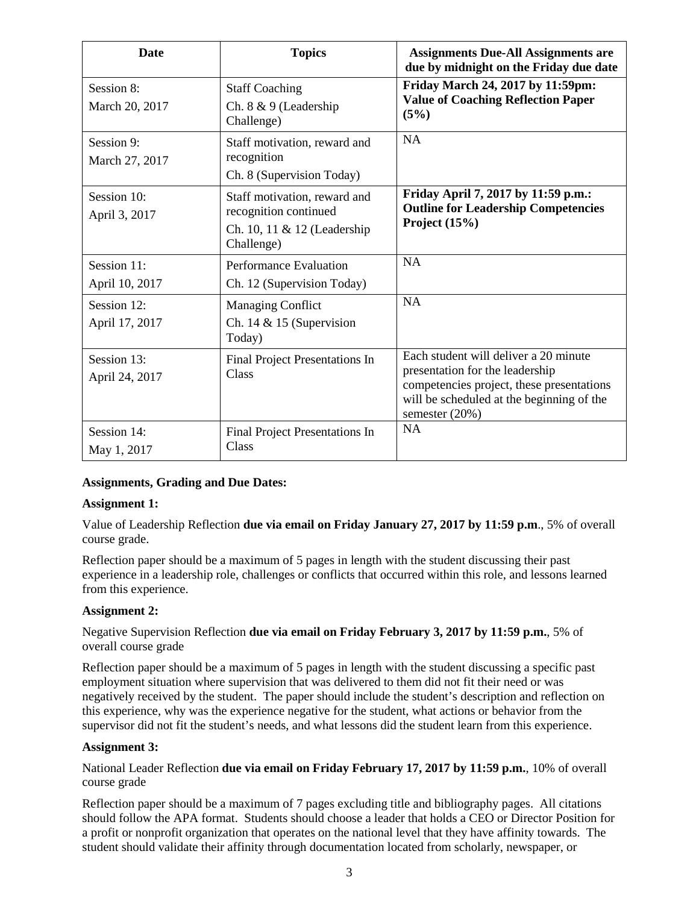| <b>Date</b>                   | <b>Topics</b>                                                                                      | <b>Assignments Due-All Assignments are</b><br>due by midnight on the Friday due date                                                                                                 |
|-------------------------------|----------------------------------------------------------------------------------------------------|--------------------------------------------------------------------------------------------------------------------------------------------------------------------------------------|
| Session 8:<br>March 20, 2017  | <b>Staff Coaching</b><br>Ch. 8 & 9 (Leadership<br>Challenge)                                       | Friday March 24, 2017 by 11:59pm:<br><b>Value of Coaching Reflection Paper</b><br>(5%)                                                                                               |
| Session 9:<br>March 27, 2017  | Staff motivation, reward and<br>recognition<br>Ch. 8 (Supervision Today)                           | <b>NA</b>                                                                                                                                                                            |
| Session 10:<br>April 3, 2017  | Staff motivation, reward and<br>recognition continued<br>Ch. 10, 11 & 12 (Leadership<br>Challenge) | Friday April 7, 2017 by 11:59 p.m.:<br><b>Outline for Leadership Competencies</b><br>Project $(15%)$                                                                                 |
| Session 11:<br>April 10, 2017 | <b>Performance Evaluation</b><br>Ch. 12 (Supervision Today)                                        | <b>NA</b>                                                                                                                                                                            |
| Session 12:<br>April 17, 2017 | <b>Managing Conflict</b><br>Ch. 14 & 15 (Supervision<br>Today)                                     | <b>NA</b>                                                                                                                                                                            |
| Session 13:<br>April 24, 2017 | Final Project Presentations In<br>Class                                                            | Each student will deliver a 20 minute<br>presentation for the leadership<br>competencies project, these presentations<br>will be scheduled at the beginning of the<br>semester (20%) |
| Session 14:<br>May 1, 2017    | Final Project Presentations In<br>Class                                                            | <b>NA</b>                                                                                                                                                                            |

#### **Assignments, Grading and Due Dates:**

#### **Assignment 1:**

Value of Leadership Reflection **due via email on Friday January 27, 2017 by 11:59 p.m**., 5% of overall course grade.

Reflection paper should be a maximum of 5 pages in length with the student discussing their past experience in a leadership role, challenges or conflicts that occurred within this role, and lessons learned from this experience.

#### **Assignment 2:**

Negative Supervision Reflection **due via email on Friday February 3, 2017 by 11:59 p.m.**, 5% of overall course grade

Reflection paper should be a maximum of 5 pages in length with the student discussing a specific past employment situation where supervision that was delivered to them did not fit their need or was negatively received by the student. The paper should include the student's description and reflection on this experience, why was the experience negative for the student, what actions or behavior from the supervisor did not fit the student's needs, and what lessons did the student learn from this experience.

#### **Assignment 3:**

National Leader Reflection **due via email on Friday February 17, 2017 by 11:59 p.m.**, 10% of overall course grade

Reflection paper should be a maximum of 7 pages excluding title and bibliography pages. All citations should follow the APA format. Students should choose a leader that holds a CEO or Director Position for a profit or nonprofit organization that operates on the national level that they have affinity towards. The student should validate their affinity through documentation located from scholarly, newspaper, or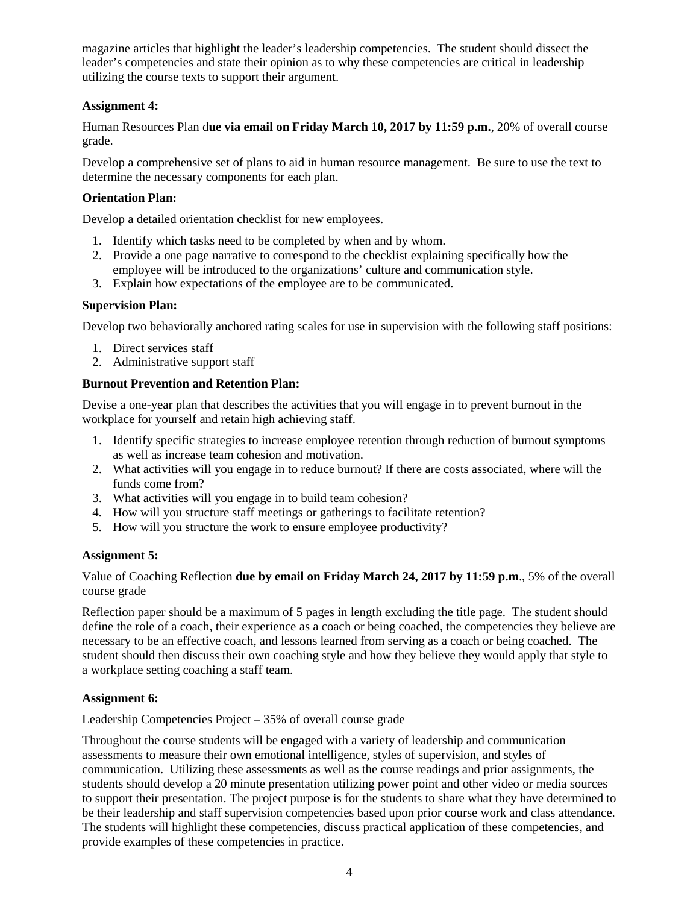magazine articles that highlight the leader's leadership competencies. The student should dissect the leader's competencies and state their opinion as to why these competencies are critical in leadership utilizing the course texts to support their argument.

# **Assignment 4:**

Human Resources Plan d**ue via email on Friday March 10, 2017 by 11:59 p.m.**, 20% of overall course grade.

Develop a comprehensive set of plans to aid in human resource management. Be sure to use the text to determine the necessary components for each plan.

## **Orientation Plan:**

Develop a detailed orientation checklist for new employees.

- 1. Identify which tasks need to be completed by when and by whom.
- 2. Provide a one page narrative to correspond to the checklist explaining specifically how the employee will be introduced to the organizations' culture and communication style.
- 3. Explain how expectations of the employee are to be communicated.

#### **Supervision Plan:**

Develop two behaviorally anchored rating scales for use in supervision with the following staff positions:

- 1. Direct services staff
- 2. Administrative support staff

# **Burnout Prevention and Retention Plan:**

Devise a one-year plan that describes the activities that you will engage in to prevent burnout in the workplace for yourself and retain high achieving staff.

- 1. Identify specific strategies to increase employee retention through reduction of burnout symptoms as well as increase team cohesion and motivation.
- 2. What activities will you engage in to reduce burnout? If there are costs associated, where will the funds come from?
- 3. What activities will you engage in to build team cohesion?
- 4. How will you structure staff meetings or gatherings to facilitate retention?
- 5. How will you structure the work to ensure employee productivity?

#### **Assignment 5:**

Value of Coaching Reflection **due by email on Friday March 24, 2017 by 11:59 p.m**., 5% of the overall course grade

Reflection paper should be a maximum of 5 pages in length excluding the title page. The student should define the role of a coach, their experience as a coach or being coached, the competencies they believe are necessary to be an effective coach, and lessons learned from serving as a coach or being coached. The student should then discuss their own coaching style and how they believe they would apply that style to a workplace setting coaching a staff team.

#### **Assignment 6:**

Leadership Competencies Project – 35% of overall course grade

Throughout the course students will be engaged with a variety of leadership and communication assessments to measure their own emotional intelligence, styles of supervision, and styles of communication. Utilizing these assessments as well as the course readings and prior assignments, the students should develop a 20 minute presentation utilizing power point and other video or media sources to support their presentation. The project purpose is for the students to share what they have determined to be their leadership and staff supervision competencies based upon prior course work and class attendance. The students will highlight these competencies, discuss practical application of these competencies, and provide examples of these competencies in practice.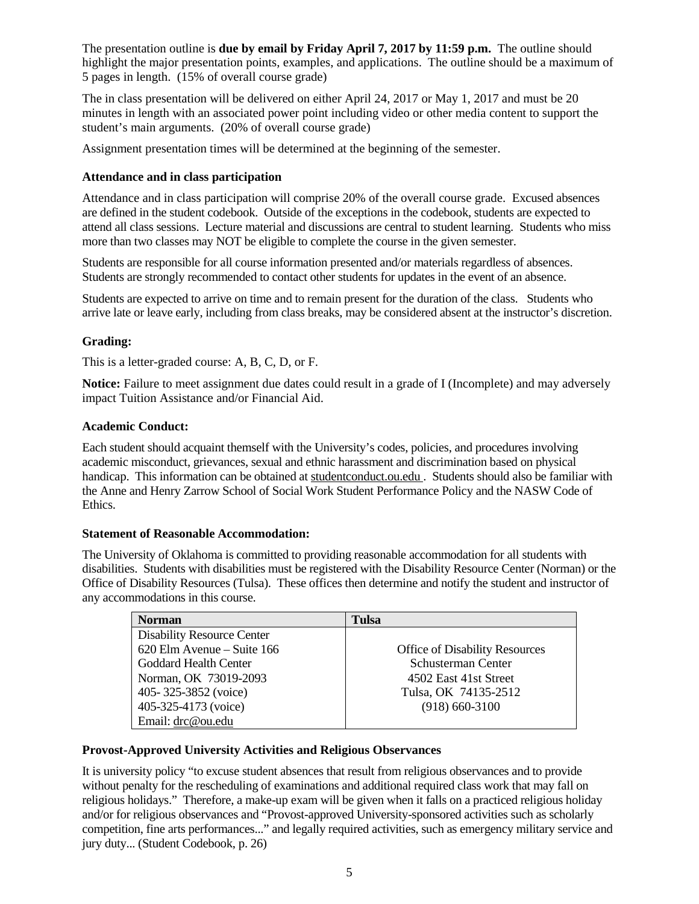The presentation outline is **due by email by Friday April 7, 2017 by 11:59 p.m.** The outline should highlight the major presentation points, examples, and applications. The outline should be a maximum of 5 pages in length. (15% of overall course grade)

The in class presentation will be delivered on either April 24, 2017 or May 1, 2017 and must be 20 minutes in length with an associated power point including video or other media content to support the student's main arguments. (20% of overall course grade)

Assignment presentation times will be determined at the beginning of the semester.

# **Attendance and in class participation**

Attendance and in class participation will comprise 20% of the overall course grade. Excused absences are defined in the student codebook. Outside of the exceptions in the codebook, students are expected to attend all class sessions. Lecture material and discussions are central to student learning. Students who miss more than two classes may NOT be eligible to complete the course in the given semester.

Students are responsible for all course information presented and/or materials regardless of absences. Students are strongly recommended to contact other students for updates in the event of an absence.

Students are expected to arrive on time and to remain present for the duration of the class. Students who arrive late or leave early, including from class breaks, may be considered absent at the instructor's discretion.

# **Grading:**

This is a letter-graded course: A, B, C, D, or F.

**Notice:** Failure to meet assignment due dates could result in a grade of I (Incomplete) and may adversely impact Tuition Assistance and/or Financial Aid.

#### **Academic Conduct:**

Each student should acquaint themself with the University's codes, policies, and procedures involving academic misconduct, grievances, sexual and ethnic harassment and discrimination based on physical handicap. This information can be obtained at studentconduct.ou.edu . Students should also be familiar with the Anne and Henry Zarrow School of Social Work Student Performance Policy and the NASW Code of Ethics.

#### **Statement of Reasonable Accommodation:**

The University of Oklahoma is committed to providing reasonable accommodation for all students with disabilities. Students with disabilities must be registered with the Disability Resource Center (Norman) or the Office of Disability Resources (Tulsa). These offices then determine and notify the student and instructor of any accommodations in this course.

| <b>Norman</b>                     | Tulsa                                 |
|-----------------------------------|---------------------------------------|
| <b>Disability Resource Center</b> |                                       |
| 620 Elm Avenue – Suite 166        | <b>Office of Disability Resources</b> |
| Goddard Health Center             | Schusterman Center                    |
| Norman, OK 73019-2093             | 4502 East 41st Street                 |
| 405-325-3852 (voice)              | Tulsa, OK 74135-2512                  |
| 405-325-4173 (voice)              | $(918)$ 660-3100                      |
| Email: drc@ou.edu                 |                                       |

# **Provost-Approved University Activities and Religious Observances**

It is university policy "to excuse student absences that result from religious observances and to provide without penalty for the rescheduling of examinations and additional required class work that may fall on religious holidays." Therefore, a make-up exam will be given when it falls on a practiced religious holiday and/or for religious observances and "Provost-approved University-sponsored activities such as scholarly competition, fine arts performances..." and legally required activities, such as emergency military service and jury duty... (Student Codebook, p. 26)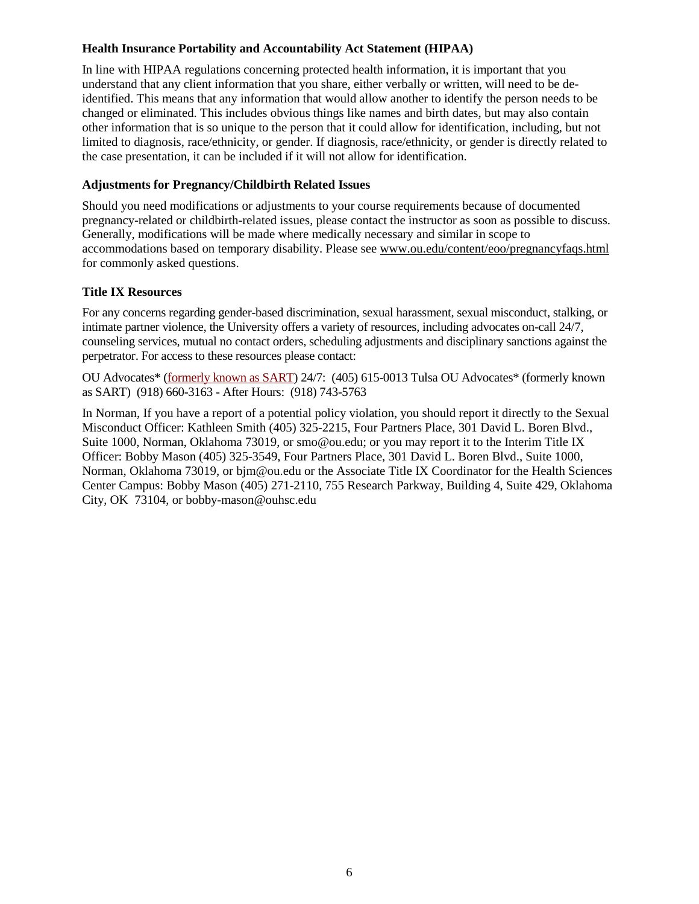# **Health Insurance Portability and Accountability Act Statement (HIPAA)**

In line with HIPAA regulations concerning protected health information, it is important that you understand that any client information that you share, either verbally or written, will need to be deidentified. This means that any information that would allow another to identify the person needs to be changed or eliminated. This includes obvious things like names and birth dates, but may also contain other information that is so unique to the person that it could allow for identification, including, but not limited to diagnosis, race/ethnicity, or gender. If diagnosis, race/ethnicity, or gender is directly related to the case presentation, it can be included if it will not allow for identification.

# **Adjustments for Pregnancy/Childbirth Related Issues**

Should you need modifications or adjustments to your course requirements because of documented pregnancy-related or childbirth-related issues, please contact the instructor as soon as possible to discuss. Generally, modifications will be made where medically necessary and similar in scope to accommodations based on temporary disability. Please see [www.ou.edu/content/eoo/pregnancyfaqs.html](http://www.ou.edu/content/eoo/pregnancyfaqs.html) for commonly asked questions.

# **Title IX Resources**

For any concerns regarding gender-based discrimination, sexual harassment, sexual misconduct, stalking, or intimate partner violence, the University offers a variety of resources, including advocates on-call 24/7, counseling services, mutual no contact orders, scheduling adjustments and disciplinary sanctions against the perpetrator. For access to these resources please contact:

OU Advocates\* [\(formerly known as SART\)](http://www.ou.edu/studentaffairs.html) 24/7: (405) 615-0013 Tulsa OU Advocates\* (formerly known as SART) (918) 660-3163 - After Hours: (918) 743-5763

In Norman, If you have a report of a potential policy violation, you should report it directly to the Sexual Misconduct Officer: Kathleen Smith (405) 325-2215, Four Partners Place, 301 David L. Boren Blvd., Suite 1000, Norman, Oklahoma 73019, or [smo@ou.edu;](mailto:%20smo@ou.edu) or you may report it to the Interim Title IX Officer: Bobby Mason (405) 325-3549, Four Partners Place, 301 David L. Boren Blvd., Suite 1000, Norman, Oklahoma 73019, or [bjm@ou.edu](mailto:bjm@ou.edu) or the Associate Title IX Coordinator for the Health Sciences Center Campus: Bobby Mason (405) 271-2110, 755 Research Parkway, Building 4, Suite 429, Oklahoma City, OK 73104, o[r bobby-mason@ouhsc.edu](mailto:%20bobby-mason@ouhsc.edu)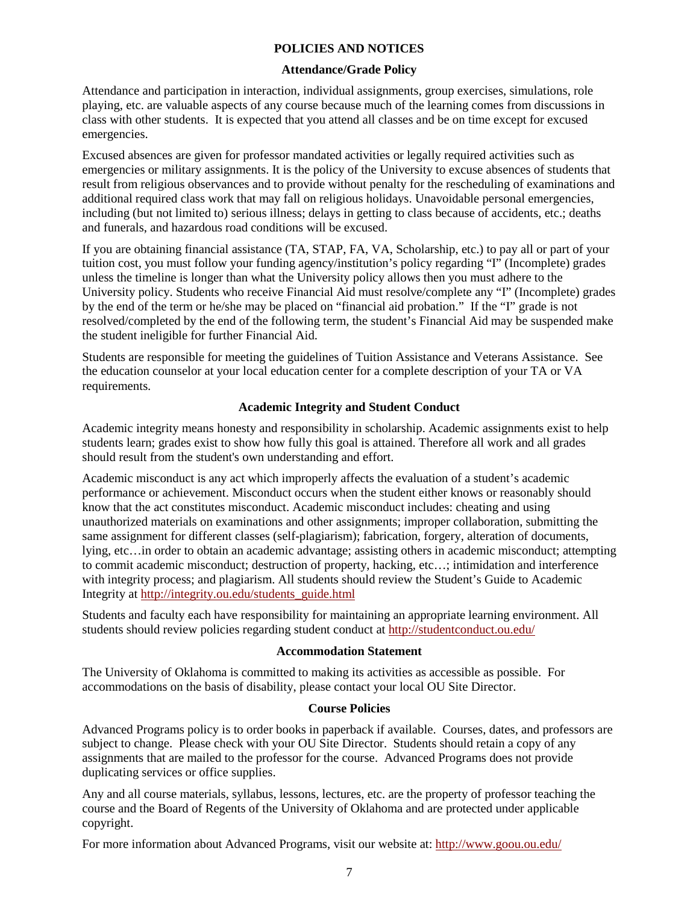## **POLICIES AND NOTICES**

## **Attendance/Grade Policy**

Attendance and participation in interaction, individual assignments, group exercises, simulations, role playing, etc. are valuable aspects of any course because much of the learning comes from discussions in class with other students. It is expected that you attend all classes and be on time except for excused emergencies.

Excused absences are given for professor mandated activities or legally required activities such as emergencies or military assignments. It is the policy of the University to excuse absences of students that result from religious observances and to provide without penalty for the rescheduling of examinations and additional required class work that may fall on religious holidays. Unavoidable personal emergencies, including (but not limited to) serious illness; delays in getting to class because of accidents, etc.; deaths and funerals, and hazardous road conditions will be excused.

If you are obtaining financial assistance (TA, STAP, FA, VA, Scholarship, etc.) to pay all or part of your tuition cost, you must follow your funding agency/institution's policy regarding "I" (Incomplete) grades unless the timeline is longer than what the University policy allows then you must adhere to the University policy. Students who receive Financial Aid must resolve/complete any "I" (Incomplete) grades by the end of the term or he/she may be placed on "financial aid probation." If the "I" grade is not resolved/completed by the end of the following term, the student's Financial Aid may be suspended make the student ineligible for further Financial Aid.

Students are responsible for meeting the guidelines of Tuition Assistance and Veterans Assistance. See the education counselor at your local education center for a complete description of your TA or VA requirements.

# **Academic Integrity and Student Conduct**

Academic integrity means honesty and responsibility in scholarship. Academic assignments exist to help students learn; grades exist to show how fully this goal is attained. Therefore all work and all grades should result from the student's own understanding and effort.

Academic misconduct is any act which improperly affects the evaluation of a student's academic performance or achievement. Misconduct occurs when the student either knows or reasonably should know that the act constitutes misconduct. Academic misconduct includes: cheating and using unauthorized materials on examinations and other assignments; improper collaboration, submitting the same assignment for different classes (self-plagiarism); fabrication, forgery, alteration of documents, lying, etc…in order to obtain an academic advantage; assisting others in academic misconduct; attempting to commit academic misconduct; destruction of property, hacking, etc…; intimidation and interference with integrity process; and plagiarism. All students should review the Student's Guide to Academic Integrity at [http://integrity.ou.edu/students\\_guide.html](http://integrity.ou.edu/students_guide.html)

Students and faculty each have responsibility for maintaining an appropriate learning environment. All students should review policies regarding student conduct at<http://studentconduct.ou.edu/>

#### **Accommodation Statement**

The University of Oklahoma is committed to making its activities as accessible as possible. For accommodations on the basis of disability, please contact your local OU Site Director.

#### **Course Policies**

Advanced Programs policy is to order books in paperback if available. Courses, dates, and professors are subject to change. Please check with your OU Site Director. Students should retain a copy of any assignments that are mailed to the professor for the course. Advanced Programs does not provide duplicating services or office supplies.

Any and all course materials, syllabus, lessons, lectures, etc. are the property of professor teaching the course and the Board of Regents of the University of Oklahoma and are protected under applicable copyright.

For more information about Advanced Programs, visit our website at:<http://www.goou.ou.edu/>